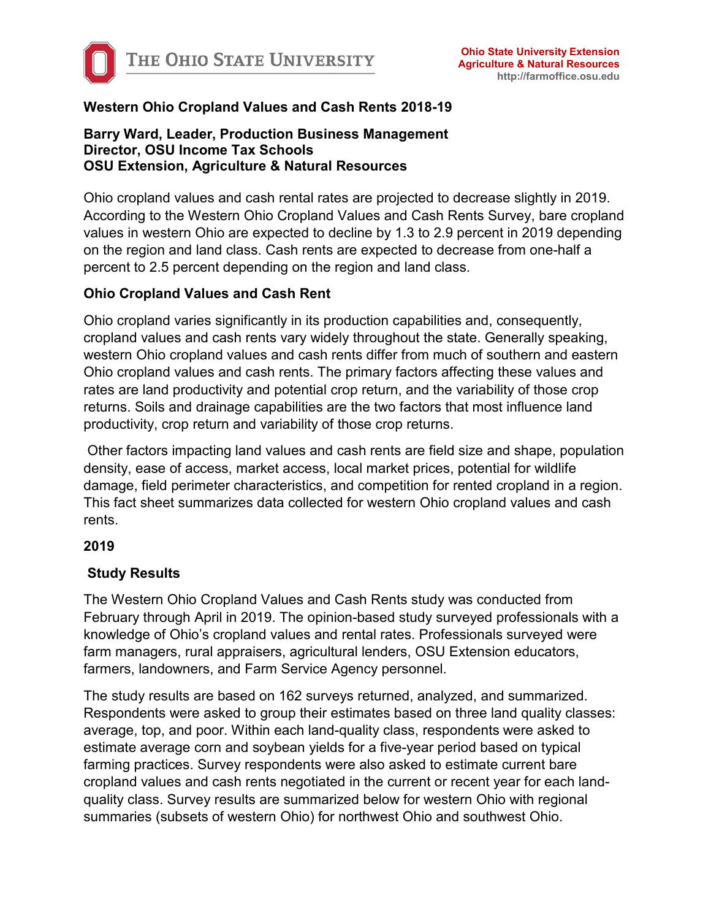

# **Western Ohio Cropland Values and Cash Rents 2018-19**

#### **Barry Ward, Leader, Production Business Management Director, OSU Income Tax Schools OSU Extension, Agriculture & Natural Resources**

Ohio cropland values and cash rental rates are projected to decrease slightly in 2019. According to the Western Ohio Cropland Values and Cash Rents Survey, bare cropland values in western Ohio are expected to decline by 1.3 to 2.9 percent in 2019 depending on the region and land class. Cash rents are expected to decrease from one-half a percent to 2.5 percent depending on the region and land class.

#### **Ohio Cropland Values and Cash Rent**

Ohio cropland varies significantly in its production capabilities and, consequently, cropland values and cash rents vary widely throughout the state. Generally speaking, western Ohio cropland values and cash rents differ from much of southern and eastern Ohio cropland values and cash rents. The primary factors affecting these values and rates are land productivity and potential crop return, and the variability of those crop returns. Soils and drainage capabilities are the two factors that most influence land productivity, crop return and variability of those crop returns.

Other factors impacting land values and cash rents are field size and shape, population density, ease of access, market access, local market prices, potential for wildlife damage, field perimeter characteristics, and competition for rented cropland in a region. This fact sheet summarizes data collected for western Ohio cropland values and cash rents.

#### **2019**

# **Study Results**

The Western Ohio Cropland Values and Cash Rents study was conducted from February through April in 2019. The opinion-based study surveyed professionals with a knowledge of Ohio's cropland values and rental rates. Professionals surveyed were farm managers, rural appraisers, agricultural lenders, OSU Extension educators, farmers, landowners, and Farm Service Agency personnel.

The study results are based on 162 surveys returned, analyzed, and summarized. Respondents were asked to group their estimates based on three land quality classes: average, top, and poor. Within each land-quality class, respondents were asked to estimate average corn and soybean yields for a five-year period based on typical farming practices. Survey respondents were also asked to estimate current bare cropland values and cash rents negotiated in the current or recent year for each landquality class. Survey results are summarized below for western Ohio with regional summaries (subsets of western Ohio) for northwest Ohio and southwest Ohio.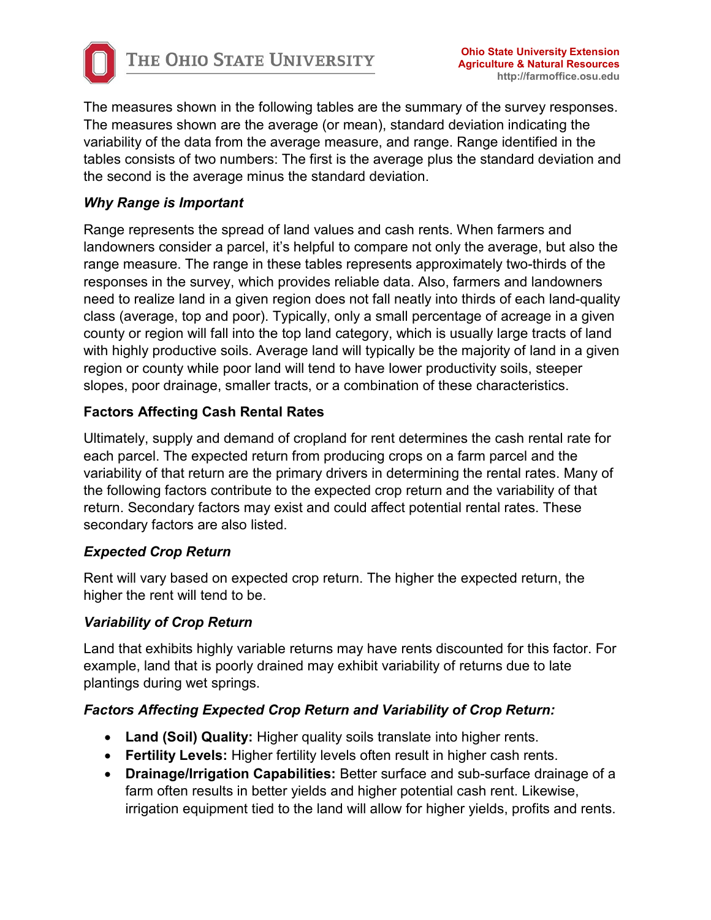

The measures shown in the following tables are the summary of the survey responses. The measures shown are the average (or mean), standard deviation indicating the variability of the data from the average measure, and range. Range identified in the tables consists of two numbers: The first is the average plus the standard deviation and the second is the average minus the standard deviation.

# *Why Range is Important*

Range represents the spread of land values and cash rents. When farmers and landowners consider a parcel, it's helpful to compare not only the average, but also the range measure. The range in these tables represents approximately two-thirds of the responses in the survey, which provides reliable data. Also, farmers and landowners need to realize land in a given region does not fall neatly into thirds of each land-quality class (average, top and poor). Typically, only a small percentage of acreage in a given county or region will fall into the top land category, which is usually large tracts of land with highly productive soils. Average land will typically be the majority of land in a given region or county while poor land will tend to have lower productivity soils, steeper slopes, poor drainage, smaller tracts, or a combination of these characteristics.

# **Factors Affecting Cash Rental Rates**

Ultimately, supply and demand of cropland for rent determines the cash rental rate for each parcel. The expected return from producing crops on a farm parcel and the variability of that return are the primary drivers in determining the rental rates. Many of the following factors contribute to the expected crop return and the variability of that return. Secondary factors may exist and could affect potential rental rates. These secondary factors are also listed.

# *Expected Crop Return*

Rent will vary based on expected crop return. The higher the expected return, the higher the rent will tend to be.

# *Variability of Crop Return*

Land that exhibits highly variable returns may have rents discounted for this factor. For example, land that is poorly drained may exhibit variability of returns due to late plantings during wet springs.

# *Factors Affecting Expected Crop Return and Variability of Crop Return:*

- **Land (Soil) Quality:** Higher quality soils translate into higher rents.
- **Fertility Levels:** Higher fertility levels often result in higher cash rents.
- **Drainage/Irrigation Capabilities:** Better surface and sub-surface drainage of a farm often results in better yields and higher potential cash rent. Likewise, irrigation equipment tied to the land will allow for higher yields, profits and rents.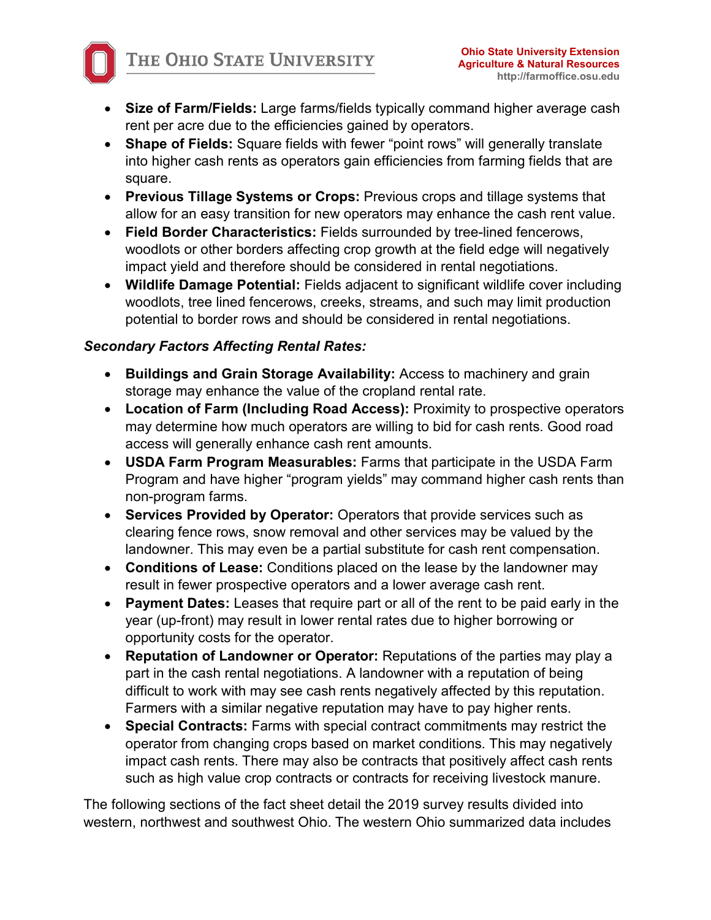- **Size of Farm/Fields:** Large farms/fields typically command higher average cash rent per acre due to the efficiencies gained by operators.
- **Shape of Fields:** Square fields with fewer "point rows" will generally translate into higher cash rents as operators gain efficiencies from farming fields that are square.
- **Previous Tillage Systems or Crops:** Previous crops and tillage systems that allow for an easy transition for new operators may enhance the cash rent value.
- **Field Border Characteristics:** Fields surrounded by tree-lined fencerows, woodlots or other borders affecting crop growth at the field edge will negatively impact yield and therefore should be considered in rental negotiations.
- **Wildlife Damage Potential:** Fields adjacent to significant wildlife cover including woodlots, tree lined fencerows, creeks, streams, and such may limit production potential to border rows and should be considered in rental negotiations.

# *Secondary Factors Affecting Rental Rates:*

- **Buildings and Grain Storage Availability:** Access to machinery and grain storage may enhance the value of the cropland rental rate.
- **Location of Farm (Including Road Access):** Proximity to prospective operators may determine how much operators are willing to bid for cash rents. Good road access will generally enhance cash rent amounts.
- **USDA Farm Program Measurables:** Farms that participate in the USDA Farm Program and have higher "program yields" may command higher cash rents than non-program farms.
- **Services Provided by Operator:** Operators that provide services such as clearing fence rows, snow removal and other services may be valued by the landowner. This may even be a partial substitute for cash rent compensation.
- **Conditions of Lease:** Conditions placed on the lease by the landowner may result in fewer prospective operators and a lower average cash rent.
- **Payment Dates:** Leases that require part or all of the rent to be paid early in the year (up-front) may result in lower rental rates due to higher borrowing or opportunity costs for the operator.
- **Reputation of Landowner or Operator:** Reputations of the parties may play a part in the cash rental negotiations. A landowner with a reputation of being difficult to work with may see cash rents negatively affected by this reputation. Farmers with a similar negative reputation may have to pay higher rents.
- **Special Contracts:** Farms with special contract commitments may restrict the operator from changing crops based on market conditions. This may negatively impact cash rents. There may also be contracts that positively affect cash rents such as high value crop contracts or contracts for receiving livestock manure.

The following sections of the fact sheet detail the 2019 survey results divided into western, northwest and southwest Ohio. The western Ohio summarized data includes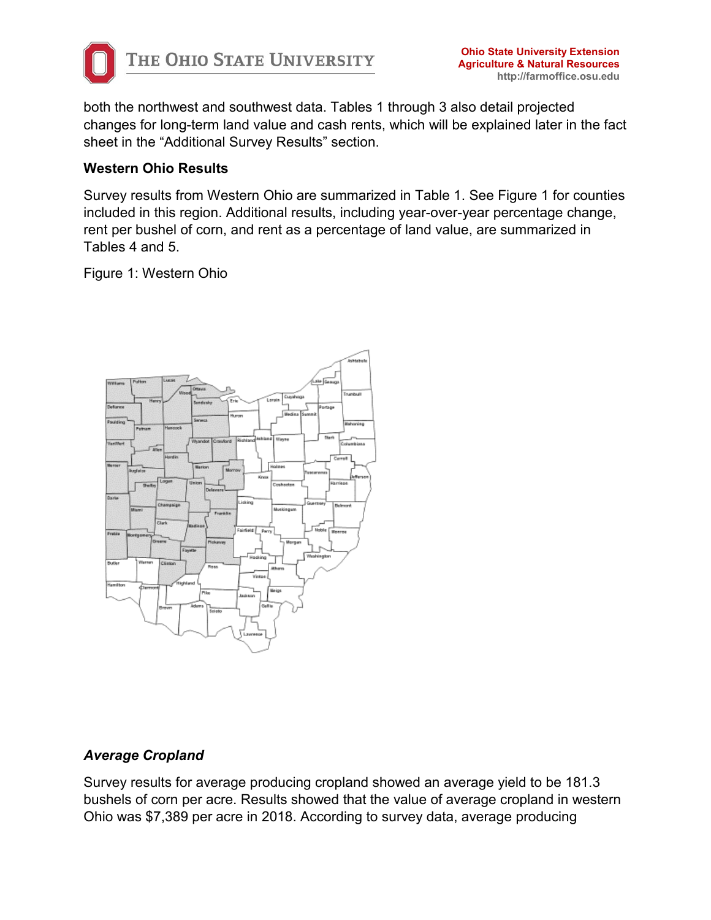

both the northwest and southwest data. Tables 1 through 3 also detail projected changes for long-term land value and cash rents, which will be explained later in the fact sheet in the "Additional Survey Results" section.

#### **Western Ohio Results**

Survey results from Western Ohio are summarized in Table 1. See Figure 1 for counties included in this region. Additional results, including year-over-year percentage change, rent per bushel of corn, and rent as a percentage of land value, are summarized in Tables 4 and 5.

Figure 1: Western Ohio



# *Average Cropland*

Survey results for average producing cropland showed an average yield to be 181.3 bushels of corn per acre. Results showed that the value of average cropland in western Ohio was \$7,389 per acre in 2018. According to survey data, average producing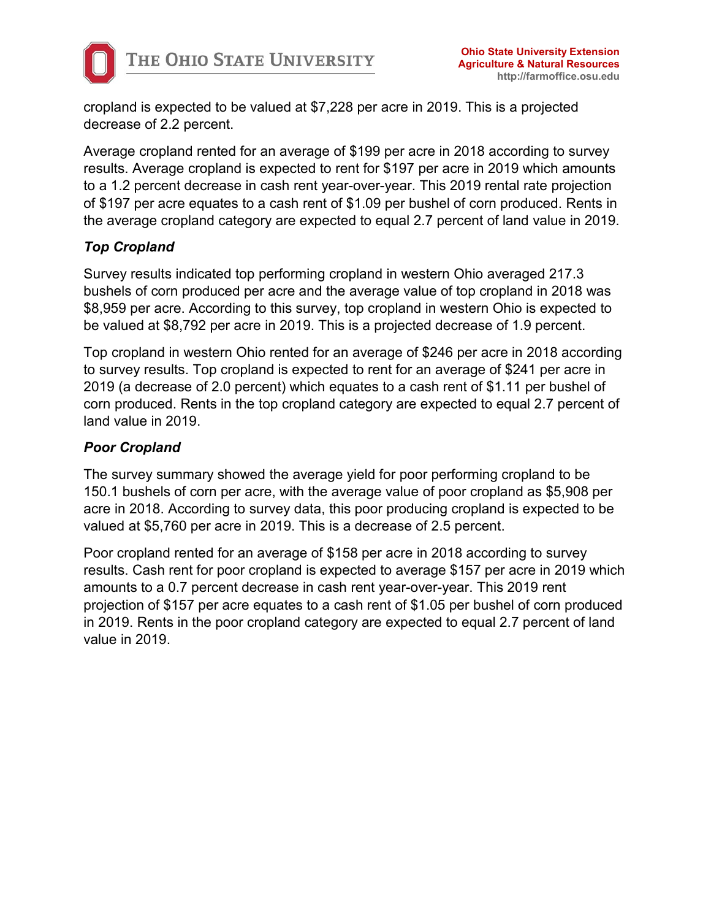cropland is expected to be valued at \$7,228 per acre in 2019. This is a projected decrease of 2.2 percent.

Average cropland rented for an average of \$199 per acre in 2018 according to survey results. Average cropland is expected to rent for \$197 per acre in 2019 which amounts to a 1.2 percent decrease in cash rent year-over-year. This 2019 rental rate projection of \$197 per acre equates to a cash rent of \$1.09 per bushel of corn produced. Rents in the average cropland category are expected to equal 2.7 percent of land value in 2019.

# *Top Cropland*

Survey results indicated top performing cropland in western Ohio averaged 217.3 bushels of corn produced per acre and the average value of top cropland in 2018 was \$8,959 per acre. According to this survey, top cropland in western Ohio is expected to be valued at \$8,792 per acre in 2019. This is a projected decrease of 1.9 percent.

Top cropland in western Ohio rented for an average of \$246 per acre in 2018 according to survey results. Top cropland is expected to rent for an average of \$241 per acre in 2019 (a decrease of 2.0 percent) which equates to a cash rent of \$1.11 per bushel of corn produced. Rents in the top cropland category are expected to equal 2.7 percent of land value in 2019.

# *Poor Cropland*

The survey summary showed the average yield for poor performing cropland to be 150.1 bushels of corn per acre, with the average value of poor cropland as \$5,908 per acre in 2018. According to survey data, this poor producing cropland is expected to be valued at \$5,760 per acre in 2019. This is a decrease of 2.5 percent.

Poor cropland rented for an average of \$158 per acre in 2018 according to survey results. Cash rent for poor cropland is expected to average \$157 per acre in 2019 which amounts to a 0.7 percent decrease in cash rent year-over-year. This 2019 rent projection of \$157 per acre equates to a cash rent of \$1.05 per bushel of corn produced in 2019. Rents in the poor cropland category are expected to equal 2.7 percent of land value in 2019.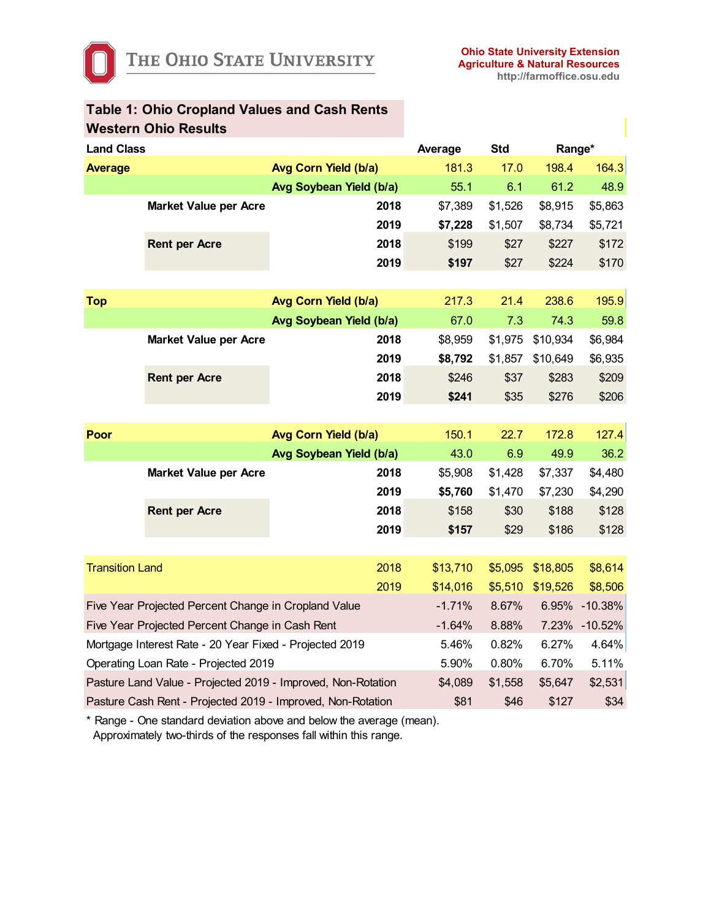|                        | <b>Western Ohio Results</b>                                  |                         |          |            |           |           |
|------------------------|--------------------------------------------------------------|-------------------------|----------|------------|-----------|-----------|
| <b>Land Class</b>      |                                                              |                         | Average  | <b>Std</b> | Range*    |           |
| <b>Average</b>         |                                                              | Avg Corn Yield (b/a)    | 181.3    | 17.0       | 198.4     | 164.3     |
|                        |                                                              | Avg Soybean Yield (b/a) | 55.1     | 6.1        | 61.2      | 48.9      |
|                        | <b>Market Value per Acre</b>                                 | 2018                    | \$7,389  | \$1,526    | \$8,915   | \$5,863   |
|                        |                                                              | 2019                    | \$7,228  | \$1,507    | \$8,734   | \$5,721   |
|                        | <b>Rent per Acre</b>                                         | 2018                    | \$199    | \$27       | \$227     | \$172     |
|                        |                                                              | 2019                    | \$197    | \$27       | \$224     | \$170     |
|                        |                                                              |                         |          |            |           |           |
| <b>Top</b>             |                                                              | Avg Corn Yield (b/a)    | 217.3    | 21.4       | 238.6     | 195.9     |
|                        |                                                              | Avg Soybean Yield (b/a) | 67.0     | 7.3        | 74.3      | 59.8      |
|                        | <b>Market Value per Acre</b>                                 | 2018                    | \$8,959  | \$1,975    | \$10,934  | \$6,984   |
|                        |                                                              | 2019                    | \$8,792  | \$1,857    | \$10,649  | \$6,935   |
|                        | <b>Rent per Acre</b>                                         | 2018                    | \$246    | \$37       | \$283     | \$209     |
|                        |                                                              | 2019                    | \$241    | \$35       | \$276     | \$206     |
|                        |                                                              |                         |          |            |           |           |
| Poor                   |                                                              | Avg Corn Yield (b/a)    | 150.1    | 22.7       | 172.8     | 127.4     |
|                        |                                                              | Avg Soybean Yield (b/a) | 43.0     | 6.9        | 49.9      | 36.2      |
|                        | <b>Market Value per Acre</b>                                 | 2018                    | \$5,908  | \$1,428    | \$7,337   | \$4,480   |
|                        |                                                              | 2019                    | \$5,760  | \$1,470    | \$7,230   | \$4,290   |
|                        | <b>Rent per Acre</b>                                         | 2018                    | \$158    | \$30       | \$188     | \$128     |
|                        |                                                              | 2019                    | \$157    | \$29       | \$186     | \$128     |
|                        |                                                              |                         |          |            |           |           |
| <b>Transition Land</b> |                                                              | 2018                    | \$13,710 | \$5,095    | \$18,805  | \$8,614   |
|                        |                                                              | 2019                    | \$14,016 | \$5,510    | \$19,526  | \$8,506   |
|                        | Five Year Projected Percent Change in Cropland Value         |                         | $-1.71%$ | 8.67%      | 6.95%     | $-10.38%$ |
|                        | Five Year Projected Percent Change in Cash Rent              | $-1.64%$                | 8.88%    | 7.23%      | $-10.52%$ |           |
|                        | Mortgage Interest Rate - 20 Year Fixed - Projected 2019      | 5.46%                   | 0.82%    | 6.27%      | 4.64%     |           |
|                        | Operating Loan Rate - Projected 2019                         | 5.90%                   | 0.80%    | 6.70%      | 5.11%     |           |
|                        | Pasture Land Value - Projected 2019 - Improved, Non-Rotation | \$4,089                 | \$1,558  | \$5,647    | \$2,531   |           |
|                        | Pasture Cash Rent - Projected 2019 - Improved, Non-Rotation  | \$81                    | \$46     | \$127      | \$34      |           |

# **Table 1: Ohio Cropland Values and Cash Rents**

\* Range - One standard deviation above and below the average (mean). Approximately two-thirds of the responses fall within this range.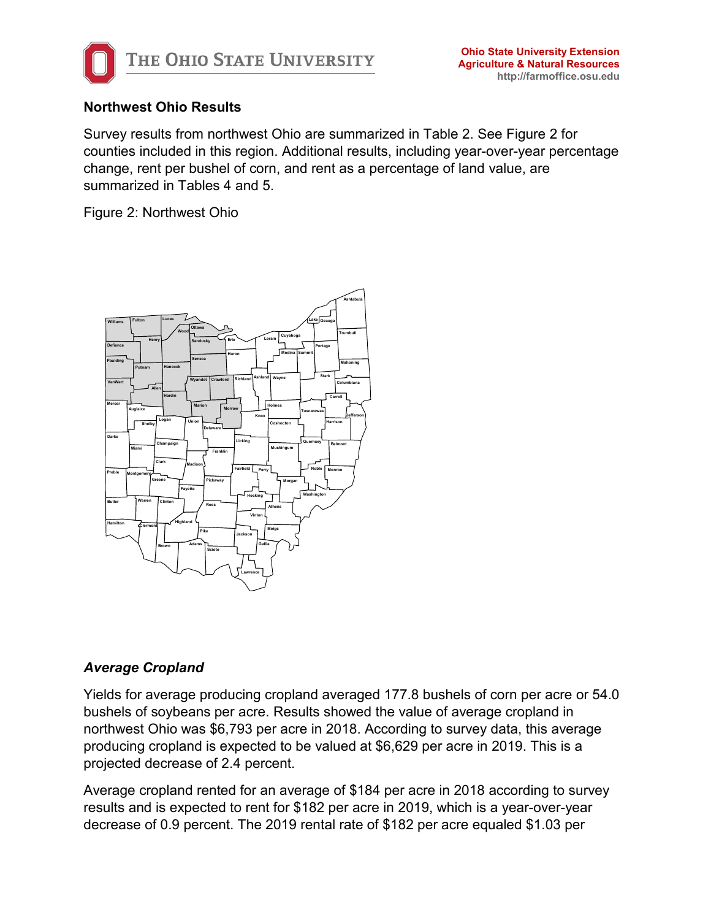

#### **Northwest Ohio Results**

Survey results from northwest Ohio are summarized in Table 2. See Figure 2 for counties included in this region. Additional results, including year-over-year percentage change, rent per bushel of corn, and rent as a percentage of land value, are summarized in Tables 4 and 5.

Figure 2: Northwest Ohio



# *Average Cropland*

Yields for average producing cropland averaged 177.8 bushels of corn per acre or 54.0 bushels of soybeans per acre. Results showed the value of average cropland in northwest Ohio was \$6,793 per acre in 2018. According to survey data, this average producing cropland is expected to be valued at \$6,629 per acre in 2019. This is a projected decrease of 2.4 percent.

Average cropland rented for an average of \$184 per acre in 2018 according to survey results and is expected to rent for \$182 per acre in 2019, which is a year-over-year decrease of 0.9 percent. The 2019 rental rate of \$182 per acre equaled \$1.03 per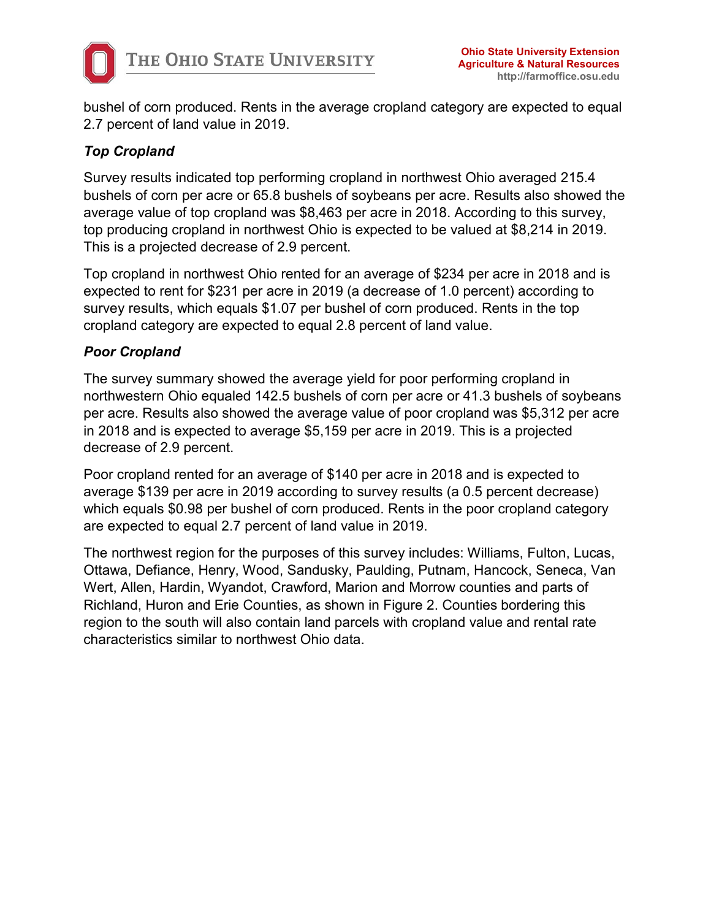

bushel of corn produced. Rents in the average cropland category are expected to equal 2.7 percent of land value in 2019.

# *Top Cropland*

Survey results indicated top performing cropland in northwest Ohio averaged 215.4 bushels of corn per acre or 65.8 bushels of soybeans per acre. Results also showed the average value of top cropland was \$8,463 per acre in 2018. According to this survey, top producing cropland in northwest Ohio is expected to be valued at \$8,214 in 2019. This is a projected decrease of 2.9 percent.

Top cropland in northwest Ohio rented for an average of \$234 per acre in 2018 and is expected to rent for \$231 per acre in 2019 (a decrease of 1.0 percent) according to survey results, which equals \$1.07 per bushel of corn produced. Rents in the top cropland category are expected to equal 2.8 percent of land value.

#### *Poor Cropland*

The survey summary showed the average yield for poor performing cropland in northwestern Ohio equaled 142.5 bushels of corn per acre or 41.3 bushels of soybeans per acre. Results also showed the average value of poor cropland was \$5,312 per acre in 2018 and is expected to average \$5,159 per acre in 2019. This is a projected decrease of 2.9 percent.

Poor cropland rented for an average of \$140 per acre in 2018 and is expected to average \$139 per acre in 2019 according to survey results (a 0.5 percent decrease) which equals \$0.98 per bushel of corn produced. Rents in the poor cropland category are expected to equal 2.7 percent of land value in 2019.

The northwest region for the purposes of this survey includes: Williams, Fulton, Lucas, Ottawa, Defiance, Henry, Wood, Sandusky, Paulding, Putnam, Hancock, Seneca, Van Wert, Allen, Hardin, Wyandot, Crawford, Marion and Morrow counties and parts of Richland, Huron and Erie Counties, as shown in Figure 2. Counties bordering this region to the south will also contain land parcels with cropland value and rental rate characteristics similar to northwest Ohio data.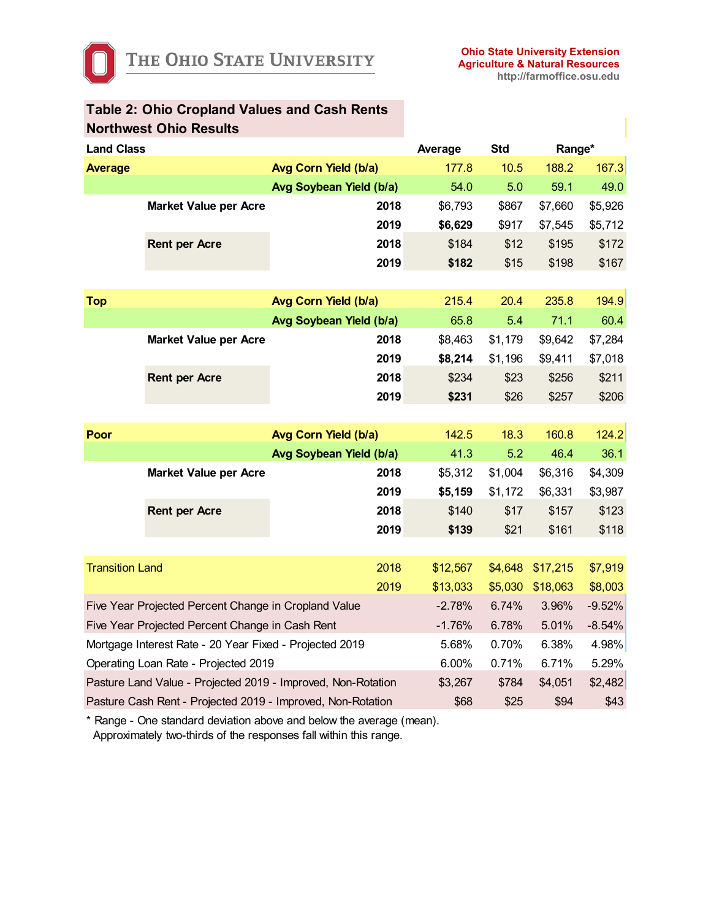|                                                      | <b>Northwest Ohio Results</b>                                |                         |          |            |          |          |
|------------------------------------------------------|--------------------------------------------------------------|-------------------------|----------|------------|----------|----------|
| <b>Land Class</b>                                    |                                                              |                         | Average  | <b>Std</b> | Range*   |          |
| <b>Average</b>                                       |                                                              | Avg Corn Yield (b/a)    | 177.8    | 10.5       | 188.2    | 167.3    |
|                                                      |                                                              | Avg Soybean Yield (b/a) | 54.0     | 5.0        | 59.1     | 49.0     |
|                                                      | <b>Market Value per Acre</b>                                 | 2018                    | \$6,793  | \$867      | \$7,660  | \$5,926  |
|                                                      |                                                              | 2019                    | \$6,629  | \$917      | \$7,545  | \$5,712  |
|                                                      | <b>Rent per Acre</b>                                         | 2018                    | \$184    | \$12       | \$195    | \$172    |
|                                                      |                                                              | 2019                    | \$182    | \$15       | \$198    | \$167    |
|                                                      |                                                              |                         |          |            |          |          |
| <b>Top</b>                                           |                                                              | Avg Corn Yield (b/a)    | 215.4    | 20.4       | 235.8    | 194.9    |
|                                                      |                                                              | Avg Soybean Yield (b/a) | 65.8     | 5.4        | 71.1     | 60.4     |
|                                                      | <b>Market Value per Acre</b>                                 | 2018                    | \$8,463  | \$1,179    | \$9,642  | \$7,284  |
|                                                      |                                                              | 2019                    | \$8,214  | \$1,196    | \$9,411  | \$7,018  |
|                                                      | <b>Rent per Acre</b>                                         | 2018                    | \$234    | \$23       | \$256    | \$211    |
|                                                      |                                                              | 2019                    | \$231    | \$26       | \$257    | \$206    |
|                                                      |                                                              |                         |          |            |          |          |
| Poor                                                 |                                                              | Avg Corn Yield (b/a)    | 142.5    | 18.3       | 160.8    | 124.2    |
|                                                      |                                                              | Avg Soybean Yield (b/a) | 41.3     | 5.2        | 46.4     | 36.1     |
|                                                      | <b>Market Value per Acre</b>                                 | 2018                    | \$5,312  | \$1,004    | \$6,316  | \$4,309  |
|                                                      |                                                              | 2019                    | \$5,159  | \$1,172    | \$6,331  | \$3,987  |
|                                                      | <b>Rent per Acre</b>                                         | 2018                    | \$140    | \$17       | \$157    | \$123    |
|                                                      |                                                              | 2019                    | \$139    | \$21       | \$161    | \$118    |
|                                                      |                                                              |                         |          |            |          |          |
| <b>Transition Land</b>                               |                                                              | 2018                    | \$12,567 | \$4,648    | \$17,215 | \$7,919  |
|                                                      |                                                              | 2019                    | \$13,033 | \$5,030    | \$18,063 | \$8,003  |
| Five Year Projected Percent Change in Cropland Value |                                                              |                         | $-2.78%$ | 6.74%      | 3.96%    | $-9.52%$ |
|                                                      | Five Year Projected Percent Change in Cash Rent              | $-1.76%$                | 6.78%    | 5.01%      | $-8.54%$ |          |
|                                                      | Mortgage Interest Rate - 20 Year Fixed - Projected 2019      | 5.68%                   | 0.70%    | 6.38%      | 4.98%    |          |
|                                                      | Operating Loan Rate - Projected 2019                         | 6.00%                   | 0.71%    | 6.71%      | 5.29%    |          |
|                                                      | Pasture Land Value - Projected 2019 - Improved, Non-Rotation | \$3,267                 | \$784    | \$4,051    | \$2,482  |          |
|                                                      | Pasture Cash Rent - Projected 2019 - Improved, Non-Rotation  | \$68                    | \$25     | \$94       | \$43     |          |

**Table 2: Ohio Cropland Values and Cash Rents**

\* Range - One standard deviation above and below the average (mean). Approximately two-thirds of the responses fall within this range.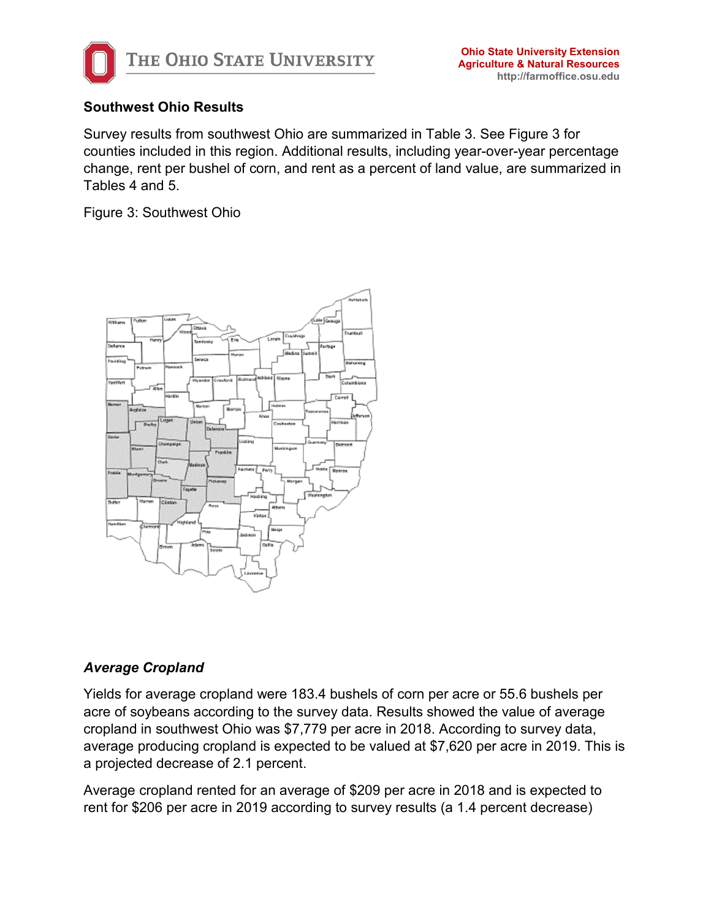

### **Southwest Ohio Results**

Survey results from southwest Ohio are summarized in Table 3. See Figure 3 for counties included in this region. Additional results, including year-over-year percentage change, rent per bushel of corn, and rent as a percent of land value, are summarized in Tables 4 and 5.

Figure 3: Southwest Ohio



#### *Average Cropland*

Yields for average cropland were 183.4 bushels of corn per acre or 55.6 bushels per acre of soybeans according to the survey data. Results showed the value of average cropland in southwest Ohio was \$7,779 per acre in 2018. According to survey data, average producing cropland is expected to be valued at \$7,620 per acre in 2019. This is a projected decrease of 2.1 percent.

Average cropland rented for an average of \$209 per acre in 2018 and is expected to rent for \$206 per acre in 2019 according to survey results (a 1.4 percent decrease)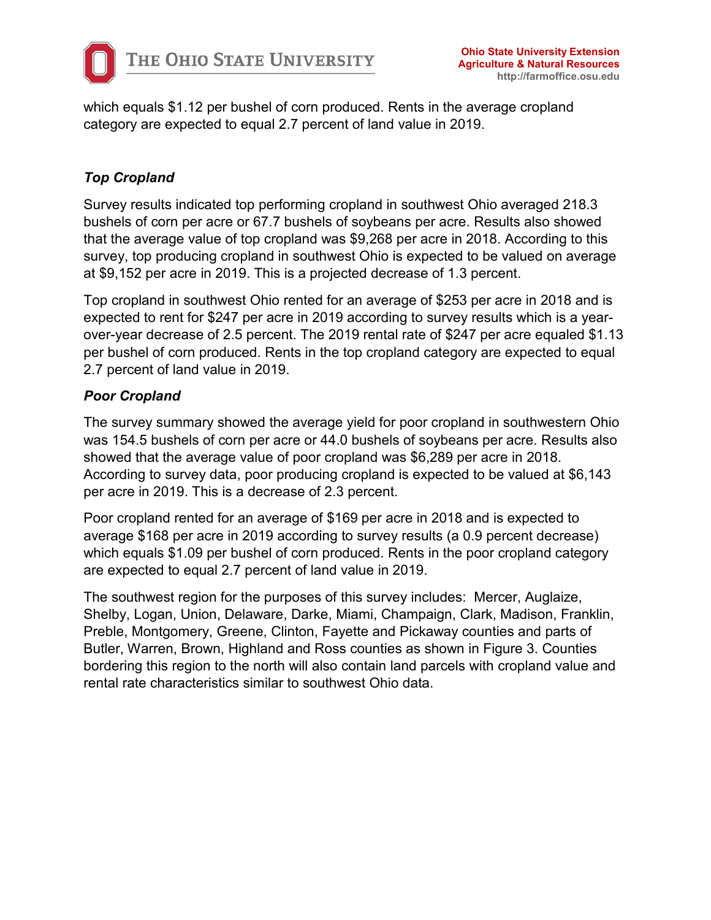

which equals \$1.12 per bushel of corn produced. Rents in the average cropland category are expected to equal 2.7 percent of land value in 2019.

# *Top Cropland*

Survey results indicated top performing cropland in southwest Ohio averaged 218.3 bushels of corn per acre or 67.7 bushels of soybeans per acre. Results also showed that the average value of top cropland was \$9,268 per acre in 2018. According to this survey, top producing cropland in southwest Ohio is expected to be valued on average at \$9,152 per acre in 2019. This is a projected decrease of 1.3 percent.

Top cropland in southwest Ohio rented for an average of \$253 per acre in 2018 and is expected to rent for \$247 per acre in 2019 according to survey results which is a yearover-year decrease of 2.5 percent. The 2019 rental rate of \$247 per acre equaled \$1.13 per bushel of corn produced. Rents in the top cropland category are expected to equal 2.7 percent of land value in 2019.

#### *Poor Cropland*

The survey summary showed the average yield for poor cropland in southwestern Ohio was 154.5 bushels of corn per acre or 44.0 bushels of soybeans per acre. Results also showed that the average value of poor cropland was \$6,289 per acre in 2018. According to survey data, poor producing cropland is expected to be valued at \$6,143 per acre in 2019. This is a decrease of 2.3 percent.

Poor cropland rented for an average of \$169 per acre in 2018 and is expected to average \$168 per acre in 2019 according to survey results (a 0.9 percent decrease) which equals \$1.09 per bushel of corn produced. Rents in the poor cropland category are expected to equal 2.7 percent of land value in 2019.

The southwest region for the purposes of this survey includes: Mercer, Auglaize, Shelby, Logan, Union, Delaware, Darke, Miami, Champaign, Clark, Madison, Franklin, Preble, Montgomery, Greene, Clinton, Fayette and Pickaway counties and parts of Butler, Warren, Brown, Highland and Ross counties as shown in Figure 3. Counties bordering this region to the north will also contain land parcels with cropland value and rental rate characteristics similar to southwest Ohio data.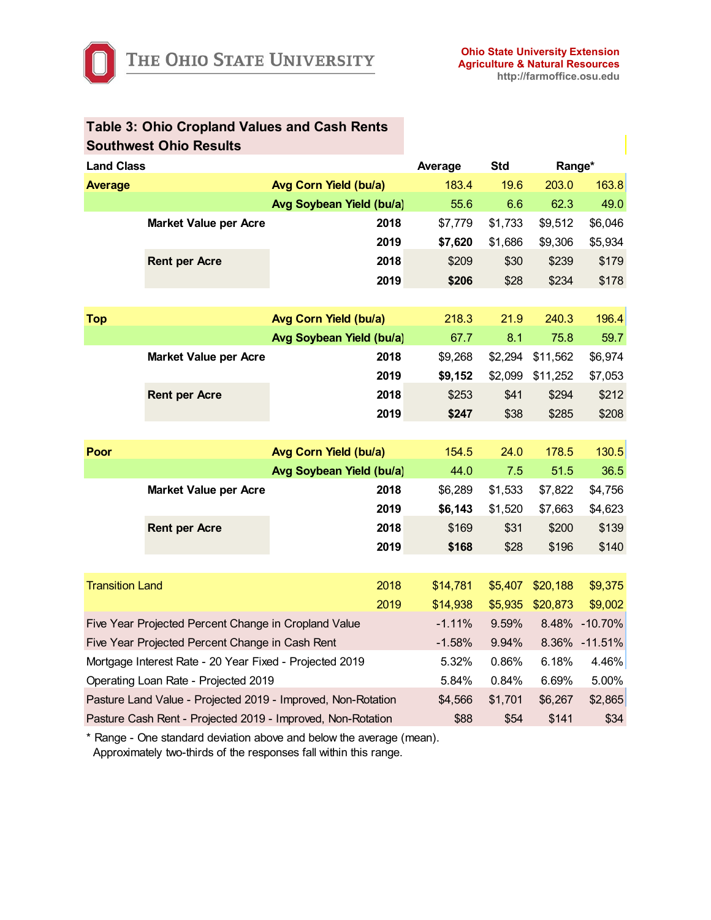|                                                      | <b>Southwest Ohio Results</b>                                |                          |          |            |          |               |
|------------------------------------------------------|--------------------------------------------------------------|--------------------------|----------|------------|----------|---------------|
| <b>Land Class</b>                                    |                                                              |                          | Average  | <b>Std</b> | Range*   |               |
| <b>Average</b>                                       |                                                              | Avg Corn Yield (bu/a)    | 183.4    | 19.6       | 203.0    | 163.8         |
|                                                      |                                                              | Avg Soybean Yield (bu/a) | 55.6     | 6.6        | 62.3     | 49.0          |
|                                                      | <b>Market Value per Acre</b>                                 | 2018                     | \$7,779  | \$1,733    | \$9,512  | \$6,046       |
|                                                      |                                                              | 2019                     | \$7,620  | \$1,686    | \$9,306  | \$5,934       |
|                                                      | <b>Rent per Acre</b>                                         | 2018                     | \$209    | \$30       | \$239    | \$179         |
|                                                      |                                                              | 2019                     | \$206    | \$28       | \$234    | \$178         |
|                                                      |                                                              |                          |          |            |          |               |
| <b>Top</b>                                           |                                                              | Avg Corn Yield (bu/a)    | 218.3    | 21.9       | 240.3    | 196.4         |
|                                                      |                                                              | Avg Soybean Yield (bu/a) | 67.7     | 8.1        | 75.8     | 59.7          |
|                                                      | <b>Market Value per Acre</b>                                 | 2018                     | \$9,268  | \$2,294    | \$11,562 | \$6,974       |
|                                                      |                                                              | 2019                     | \$9,152  | \$2,099    | \$11,252 | \$7,053       |
|                                                      | <b>Rent per Acre</b>                                         | 2018                     | \$253    | \$41       | \$294    | \$212         |
|                                                      |                                                              | 2019                     | \$247    | \$38       | \$285    | \$208         |
|                                                      |                                                              |                          |          |            |          |               |
| Poor                                                 |                                                              | Avg Corn Yield (bu/a)    | 154.5    | 24.0       | 178.5    | 130.5         |
|                                                      |                                                              | Avg Soybean Yield (bu/a) | 44.0     | 7.5        | 51.5     | 36.5          |
|                                                      | <b>Market Value per Acre</b>                                 | 2018                     | \$6,289  | \$1,533    | \$7,822  | \$4,756       |
|                                                      |                                                              | 2019                     | \$6,143  | \$1,520    | \$7,663  | \$4,623       |
|                                                      | <b>Rent per Acre</b>                                         | 2018                     | \$169    | \$31       | \$200    | \$139         |
|                                                      |                                                              | 2019                     | \$168    | \$28       | \$196    | \$140         |
|                                                      |                                                              |                          |          |            |          |               |
| <b>Transition Land</b>                               |                                                              | 2018                     | \$14,781 | \$5,407    | \$20,188 | \$9,375       |
|                                                      |                                                              | 2019                     | \$14,938 | \$5,935    | \$20,873 | \$9,002       |
| Five Year Projected Percent Change in Cropland Value |                                                              |                          | $-1.11%$ | 9.59%      |          | 8.48% -10.70% |
| Five Year Projected Percent Change in Cash Rent      |                                                              |                          | $-1.58%$ | 9.94%      | 8.36%    | $-11.51%$     |
|                                                      | Mortgage Interest Rate - 20 Year Fixed - Projected 2019      | 5.32%                    | 0.86%    | 6.18%      | 4.46%    |               |
|                                                      | Operating Loan Rate - Projected 2019                         | 5.84%                    | 0.84%    | 6.69%      | 5.00%    |               |
|                                                      | Pasture Land Value - Projected 2019 - Improved, Non-Rotation | \$4,566                  | \$1,701  | \$6,267    | \$2,865  |               |
|                                                      | Pasture Cash Rent - Projected 2019 - Improved, Non-Rotation  | \$88                     | \$54     | \$141      | \$34     |               |

# **Table 3: Ohio Cropland Values and Cash Rents**

\* Range - One standard deviation above and below the average (mean).

Approximately two-thirds of the responses fall within this range.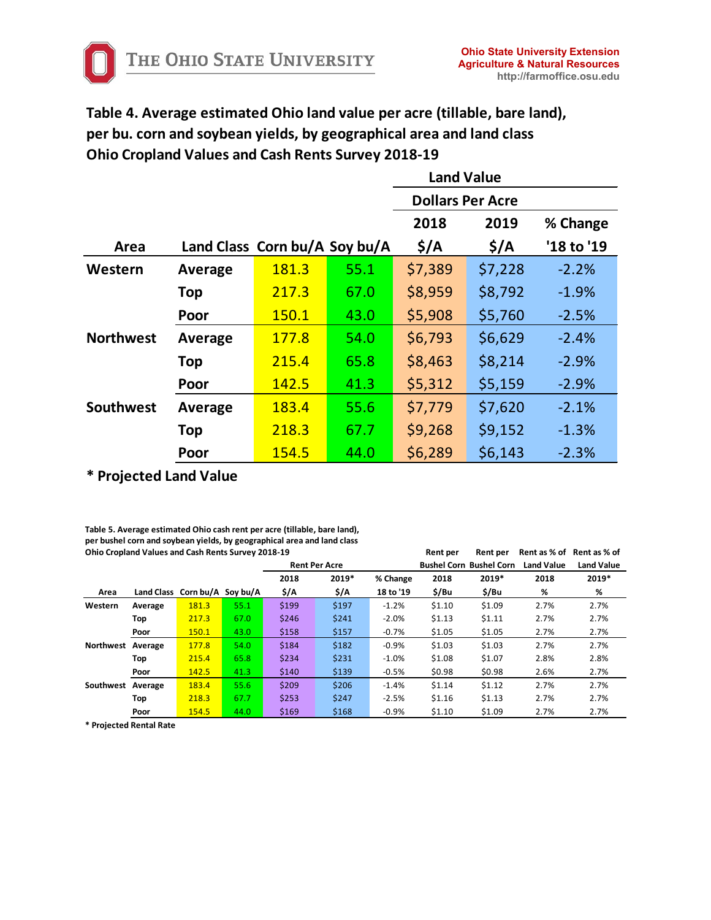**Table 4. Average estimated Ohio land value per acre (tillable, bare land), per bu. corn and soybean yields, by geographical area and land class Ohio Cropland Values and Cash Rents Survey 2018-19**

|                  |                               |       |      | <b>Land Value</b>       |                  |            |  |  |
|------------------|-------------------------------|-------|------|-------------------------|------------------|------------|--|--|
|                  |                               |       |      | <b>Dollars Per Acre</b> |                  |            |  |  |
|                  |                               |       |      | 2018                    | 2019             | % Change   |  |  |
| Area             | Land Class Corn bu/A Soy bu/A |       |      | $\frac{1}{2}$           | $\frac{2}{3}$ /A | '18 to '19 |  |  |
| Western          | Average                       | 181.3 | 55.1 | \$7,389                 | \$7,228          | $-2.2%$    |  |  |
|                  | Top                           | 217.3 | 67.0 | \$8,959                 | \$8,792          | $-1.9%$    |  |  |
|                  | Poor                          | 150.1 | 43.0 | \$5,908                 | \$5,760          | $-2.5%$    |  |  |
| <b>Northwest</b> | Average                       | 177.8 | 54.0 | \$6,793                 | \$6,629          | $-2.4%$    |  |  |
|                  | Top                           | 215.4 | 65.8 | \$8,463                 | \$8,214          | $-2.9%$    |  |  |
|                  | Poor                          | 142.5 | 41.3 | \$5,312                 | \$5,159          | $-2.9%$    |  |  |
| <b>Southwest</b> | Average                       | 183.4 | 55.6 | \$7,779                 | \$7,620          | $-2.1%$    |  |  |
|                  | <b>Top</b>                    | 218.3 | 67.7 | \$9,268                 | \$9,152          | $-1.3%$    |  |  |
|                  | Poor                          | 154.5 | 44.0 | \$6,289                 | \$6,143          | $-2.3%$    |  |  |

**\* Projected Land Value**

**Table 5. Average estimated Ohio cash rent per acre (tillable, bare land), per bushel corn and soybean yields, by geographical area and land class Ohio Cropland Values and Cash Rents Survey 2018-19 Rent per Rent per Rent as % of Rent as % of**

|                   |         |                               |      | <b>Rent Per Acre</b> |       |           |        | <b>Bushel Corn Bushel Corn</b> | <b>Land Value</b> | <b>Land Value</b> |
|-------------------|---------|-------------------------------|------|----------------------|-------|-----------|--------|--------------------------------|-------------------|-------------------|
|                   |         |                               |      | 2018                 | 2019* | % Change  | 2018   | 2019*                          | 2018              | 2019*             |
| Area              |         | Land Class Corn bu/A Soy bu/A |      | \$/A                 | \$/A  | 18 to '19 | \$/Bu  | \$/Bu                          | %                 | %                 |
| Western           | Average | 181.3                         | 55.1 | \$199                | \$197 | $-1.2%$   | \$1.10 | \$1.09                         | 2.7%              | 2.7%              |
|                   | Top     | 217.3                         | 67.0 | \$246                | \$241 | $-2.0%$   | \$1.13 | \$1.11                         | 2.7%              | 2.7%              |
|                   | Poor    | 150.1                         | 43.0 | \$158                | \$157 | $-0.7%$   | \$1.05 | \$1.05                         | 2.7%              | 2.7%              |
| Northwest Average |         | 177.8                         | 54.0 | \$184                | \$182 | $-0.9%$   | \$1.03 | \$1.03                         | 2.7%              | 2.7%              |
|                   | Top     | 215.4                         | 65.8 | \$234                | \$231 | $-1.0%$   | \$1.08 | \$1.07                         | 2.8%              | 2.8%              |
|                   | Poor    | 142.5                         | 41.3 | \$140                | \$139 | $-0.5%$   | \$0.98 | \$0.98                         | 2.6%              | 2.7%              |
| Southwest Average |         | 183.4                         | 55.6 | \$209                | \$206 | $-1.4%$   | \$1.14 | \$1.12                         | 2.7%              | 2.7%              |
|                   | Top     | 218.3                         | 67.7 | \$253                | \$247 | $-2.5%$   | \$1.16 | \$1.13                         | 2.7%              | 2.7%              |
|                   | Poor    | 154.5                         | 44.0 | \$169                | \$168 | $-0.9%$   | \$1.10 | \$1.09                         | 2.7%              | 2.7%              |

**\* Projected Rental Rate**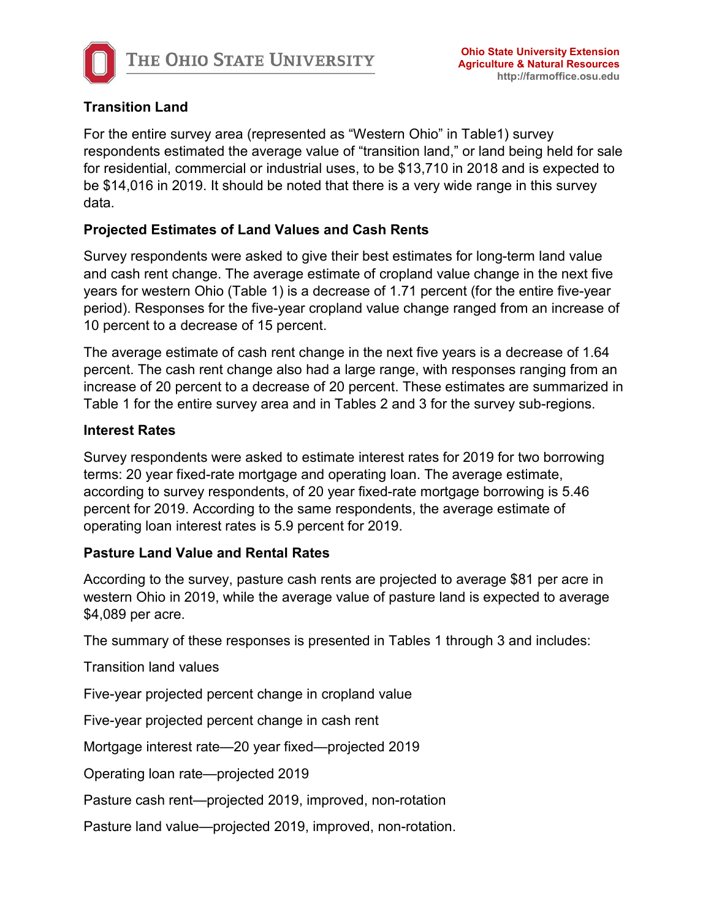

# **Transition Land**

For the entire survey area (represented as "Western Ohio" in Table1) survey respondents estimated the average value of "transition land," or land being held for sale for residential, commercial or industrial uses, to be \$13,710 in 2018 and is expected to be \$14,016 in 2019. It should be noted that there is a very wide range in this survey data.

# **Projected Estimates of Land Values and Cash Rents**

Survey respondents were asked to give their best estimates for long-term land value and cash rent change. The average estimate of cropland value change in the next five years for western Ohio (Table 1) is a decrease of 1.71 percent (for the entire five-year period). Responses for the five-year cropland value change ranged from an increase of 10 percent to a decrease of 15 percent.

The average estimate of cash rent change in the next five years is a decrease of 1.64 percent. The cash rent change also had a large range, with responses ranging from an increase of 20 percent to a decrease of 20 percent. These estimates are summarized in Table 1 for the entire survey area and in Tables 2 and 3 for the survey sub-regions.

# **Interest Rates**

Survey respondents were asked to estimate interest rates for 2019 for two borrowing terms: 20 year fixed-rate mortgage and operating loan. The average estimate, according to survey respondents, of 20 year fixed-rate mortgage borrowing is 5.46 percent for 2019. According to the same respondents, the average estimate of operating loan interest rates is 5.9 percent for 2019.

# **Pasture Land Value and Rental Rates**

According to the survey, pasture cash rents are projected to average \$81 per acre in western Ohio in 2019, while the average value of pasture land is expected to average \$4,089 per acre.

The summary of these responses is presented in Tables 1 through 3 and includes:

Transition land values

Five-year projected percent change in cropland value

Five-year projected percent change in cash rent

Mortgage interest rate—20 year fixed—projected 2019

Operating loan rate—projected 2019

Pasture cash rent—projected 2019, improved, non-rotation

Pasture land value—projected 2019, improved, non-rotation.